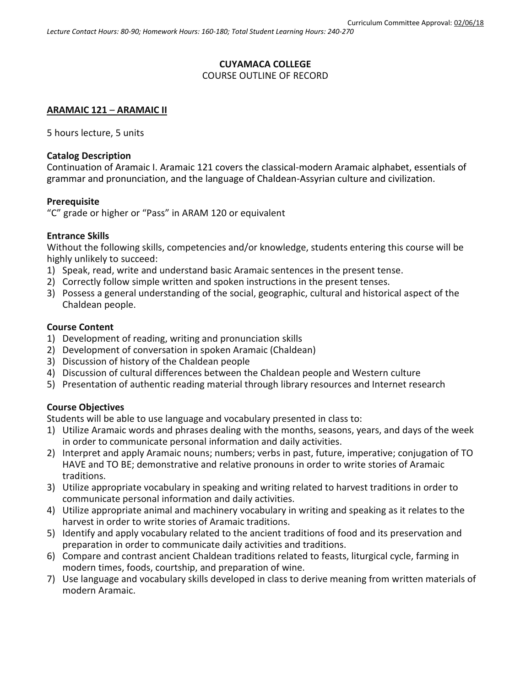## **CUYAMACA COLLEGE**

## COURSE OUTLINE OF RECORD

## **ARAMAIC 121** – **ARAMAIC II**

5 hours lecture, 5 units

## **Catalog Description**

Continuation of Aramaic I. Aramaic 121 covers the classical-modern Aramaic alphabet, essentials of grammar and pronunciation, and the language of Chaldean-Assyrian culture and civilization.

## **Prerequisite**

"C" grade or higher or "Pass" in ARAM 120 or equivalent

## **Entrance Skills**

Without the following skills, competencies and/or knowledge, students entering this course will be highly unlikely to succeed:

- 1) Speak, read, write and understand basic Aramaic sentences in the present tense.
- 2) Correctly follow simple written and spoken instructions in the present tenses.
- 3) Possess a general understanding of the social, geographic, cultural and historical aspect of the Chaldean people.

## **Course Content**

- 1) Development of reading, writing and pronunciation skills
- 2) Development of conversation in spoken Aramaic (Chaldean)
- 3) Discussion of history of the Chaldean people
- 4) Discussion of cultural differences between the Chaldean people and Western culture
- 5) Presentation of authentic reading material through library resources and Internet research

## **Course Objectives**

Students will be able to use language and vocabulary presented in class to:

- 1) Utilize Aramaic words and phrases dealing with the months, seasons, years, and days of the week in order to communicate personal information and daily activities.
- 2) Interpret and apply Aramaic nouns; numbers; verbs in past, future, imperative; conjugation of TO HAVE and TO BE; demonstrative and relative pronouns in order to write stories of Aramaic traditions.
- 3) Utilize appropriate vocabulary in speaking and writing related to harvest traditions in order to communicate personal information and daily activities.
- 4) Utilize appropriate animal and machinery vocabulary in writing and speaking as it relates to the harvest in order to write stories of Aramaic traditions.
- 5) Identify and apply vocabulary related to the ancient traditions of food and its preservation and preparation in order to communicate daily activities and traditions.
- 6) Compare and contrast ancient Chaldean traditions related to feasts, liturgical cycle, farming in modern times, foods, courtship, and preparation of wine.
- 7) Use language and vocabulary skills developed in class to derive meaning from written materials of modern Aramaic.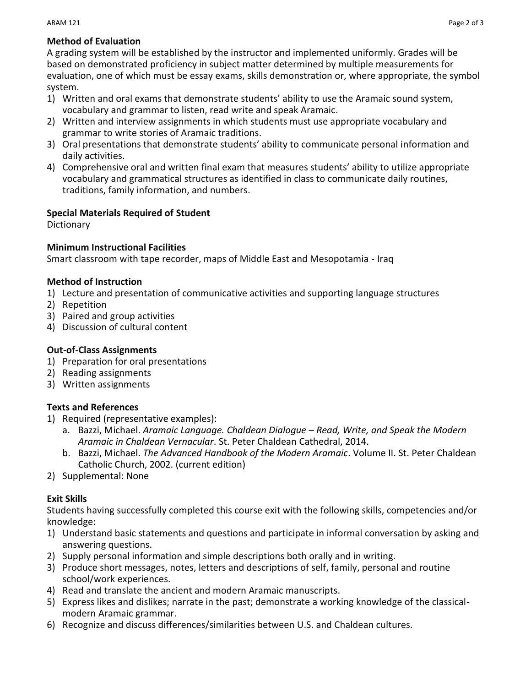# **Method of Evaluation**

A grading system will be established by the instructor and implemented uniformly. Grades will be based on demonstrated proficiency in subject matter determined by multiple measurements for evaluation, one of which must be essay exams, skills demonstration or, where appropriate, the symbol system.

- 1) Written and oral exams that demonstrate students' ability to use the Aramaic sound system, vocabulary and grammar to listen, read write and speak Aramaic.
- 2) Written and interview assignments in which students must use appropriate vocabulary and grammar to write stories of Aramaic traditions.
- 3) Oral presentations that demonstrate students' ability to communicate personal information and daily activities.
- 4) Comprehensive oral and written final exam that measures students' ability to utilize appropriate vocabulary and grammatical structures as identified in class to communicate daily routines, traditions, family information, and numbers.

## **Special Materials Required of Student**

**Dictionary** 

## **Minimum Instructional Facilities**

Smart classroom with tape recorder, maps of Middle East and Mesopotamia - Iraq

## **Method of Instruction**

- 1) Lecture and presentation of communicative activities and supporting language structures
- 2) Repetition
- 3) Paired and group activities
- 4) Discussion of cultural content

## **Out-of-Class Assignments**

- 1) Preparation for oral presentations
- 2) Reading assignments
- 3) Written assignments

## **Texts and References**

- 1) Required (representative examples):
	- a. Bazzi, Michael. *Aramaic Language. Chaldean Dialogue – Read, Write, and Speak the Modern Aramaic in Chaldean Vernacular*. St. Peter Chaldean Cathedral, 2014.
	- b. Bazzi, Michael. *The Advanced Handbook of the Modern Aramaic*. Volume II. St. Peter Chaldean Catholic Church, 2002. (current edition)
- 2) Supplemental: None

## **Exit Skills**

Students having successfully completed this course exit with the following skills, competencies and/or knowledge:

- 1) Understand basic statements and questions and participate in informal conversation by asking and answering questions.
- 2) Supply personal information and simple descriptions both orally and in writing.
- 3) Produce short messages, notes, letters and descriptions of self, family, personal and routine school/work experiences.
- 4) Read and translate the ancient and modern Aramaic manuscripts.
- 5) Express likes and dislikes; narrate in the past; demonstrate a working knowledge of the classicalmodern Aramaic grammar.
- 6) Recognize and discuss differences/similarities between U.S. and Chaldean cultures.